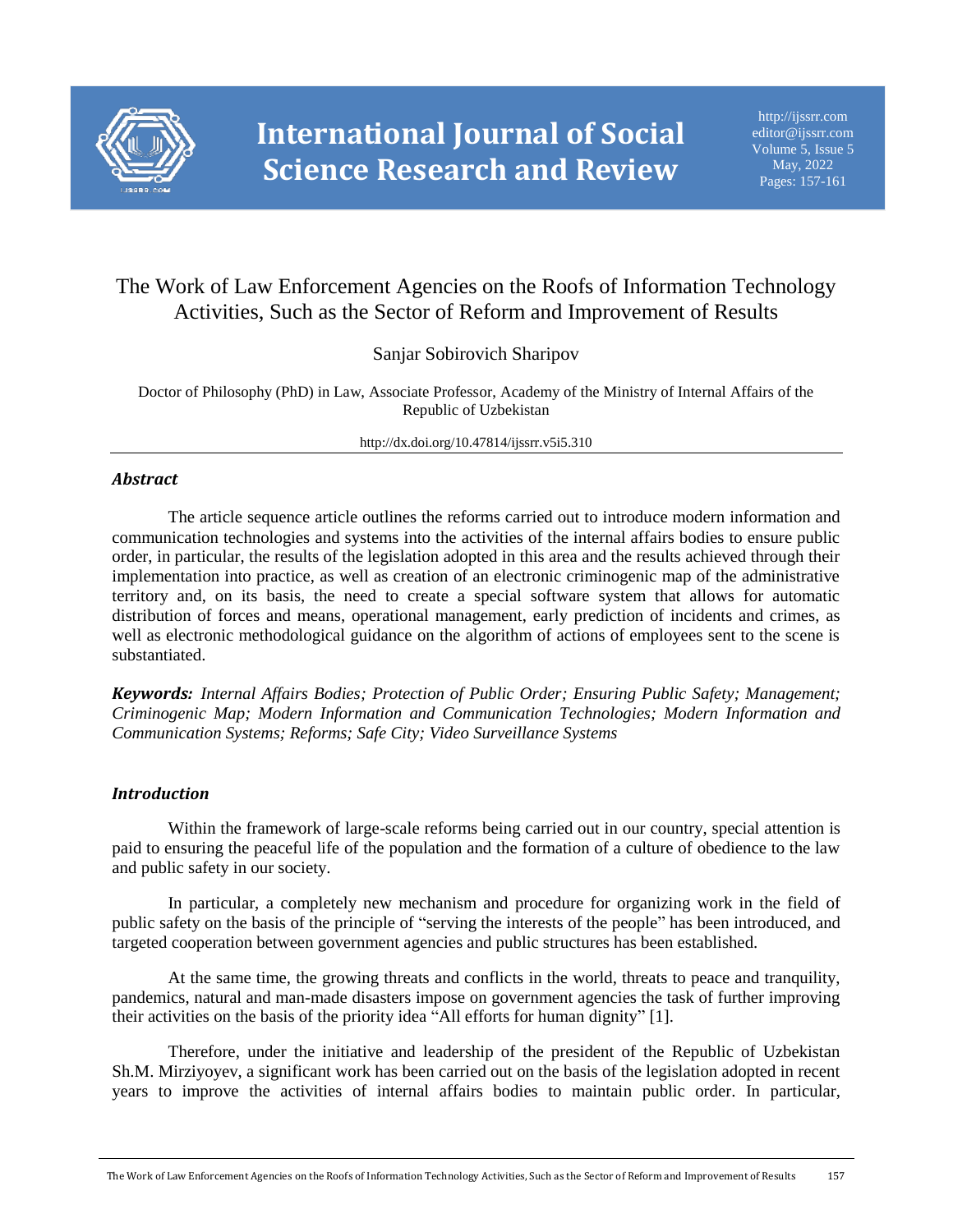

# The Work of Law Enforcement Agencies on the Roofs of Information Technology Activities, Such as the Sector of Reform and Improvement of Results

Sanjar Sobirovich Sharipov

Doctor of Philosophy (PhD) in Law, Associate Professor, Academy of the Ministry of Internal Affairs of the Republic of Uzbekistan

http://dx.doi.org/10.47814/ijssrr.v5i5.310

### *Abstract*

The article sequence article outlines the reforms carried out to introduce modern information and communication technologies and systems into the activities of the internal affairs bodies to ensure public order, in particular, the results of the legislation adopted in this area and the results achieved through their implementation into practice, as well as creation of an electronic criminogenic map of the administrative territory and, on its basis, the need to create a special software system that allows for automatic distribution of forces and means, operational management, early prediction of incidents and crimes, as well as electronic methodological guidance on the algorithm of actions of employees sent to the scene is substantiated.

*Keywords: Internal Affairs Bodies; Protection of Public Order; Ensuring Public Safety; Management; Criminogenic Map; Modern Information and Communication Technologies; Modern Information and Communication Systems; Reforms; Safe City; Video Surveillance Systems*

#### *Introduction*

Within the framework of large-scale reforms being carried out in our country, special attention is paid to ensuring the peaceful life of the population and the formation of a culture of obedience to the law and public safety in our society.

In particular, a completely new mechanism and procedure for organizing work in the field of public safety on the basis of the principle of "serving the interests of the people" has been introduced, and targeted cooperation between government agencies and public structures has been established.

At the same time, the growing threats and conflicts in the world, threats to peace and tranquility, pandemics, natural and man-made disasters impose on government agencies the task of further improving their activities on the basis of the priority idea "All efforts for human dignity" [1].

Therefore, under the initiative and leadership of the president of the Republic of Uzbekistan Sh.M. Mirziyoyev, a significant work has been carried out on the basis of the legislation adopted in recent years to improve the activities of internal affairs bodies to maintain public order. In particular,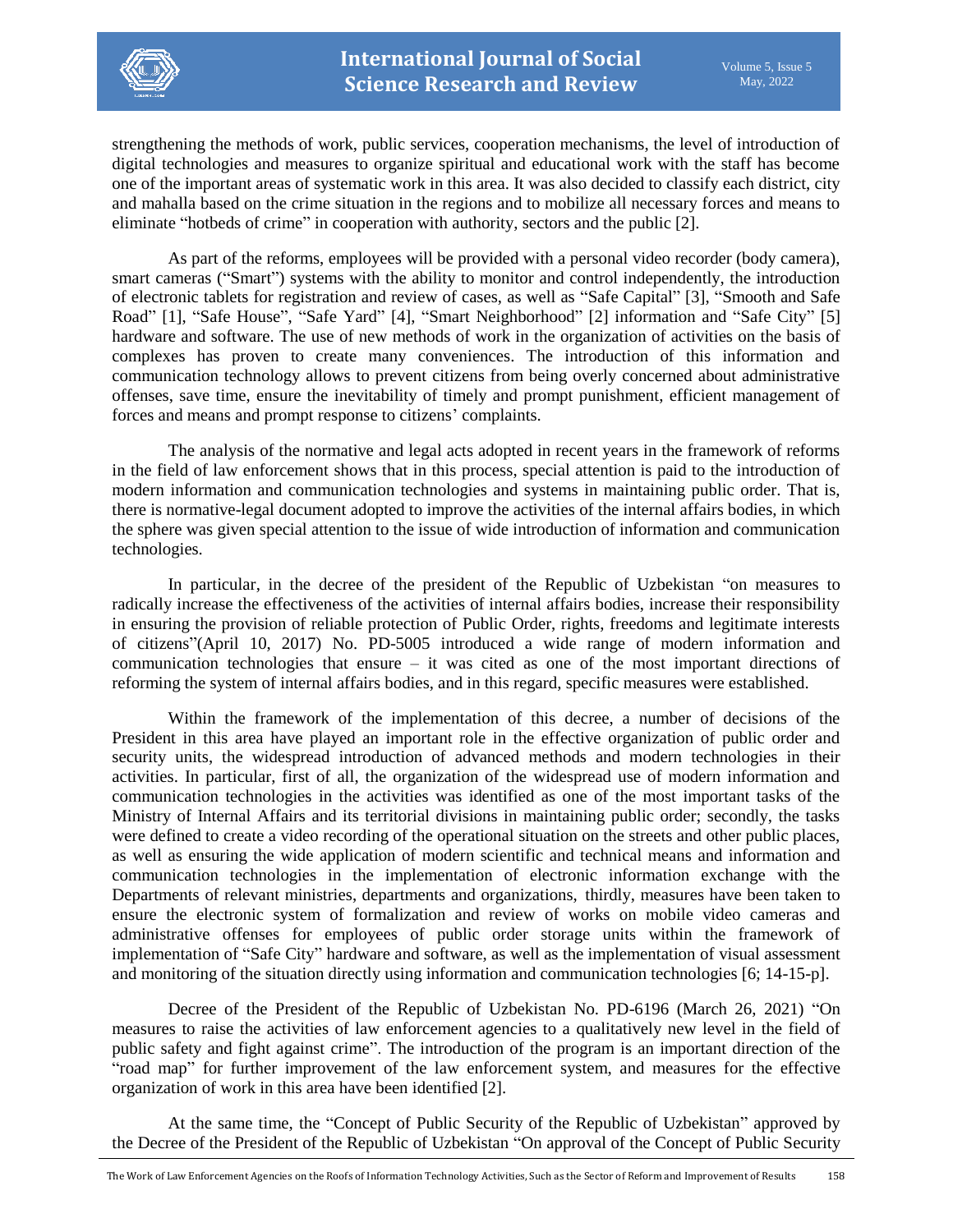

strengthening the methods of work, public services, cooperation mechanisms, the level of introduction of digital technologies and measures to organize spiritual and educational work with the staff has become one of the important areas of systematic work in this area. It was also decided to classify each district, city and mahalla based on the crime situation in the regions and to mobilize all necessary forces and means to eliminate "hotbeds of crime" in cooperation with authority, sectors and the public [2].

As part of the reforms, employees will be provided with a personal video recorder (body camera), smart cameras ("Smart") systems with the ability to monitor and control independently, the introduction of electronic tablets for registration and review of cases, as well as "Safe Capital" [3], "Smooth and Safe Road" [1], "Safe House", "Safe Yard" [4], "Smart Neighborhood" [2] information and "Safe City" [5] hardware and software. The use of new methods of work in the organization of activities on the basis of complexes has proven to create many conveniences. The introduction of this information and communication technology allows to prevent citizens from being overly concerned about administrative offenses, save time, ensure the inevitability of timely and prompt punishment, efficient management of forces and means and prompt response to citizens' complaints.

The analysis of the normative and legal acts adopted in recent years in the framework of reforms in the field of law enforcement shows that in this process, special attention is paid to the introduction of modern information and communication technologies and systems in maintaining public order. That is, there is normative-legal document adopted to improve the activities of the internal affairs bodies, in which the sphere was given special attention to the issue of wide introduction of information and communication technologies.

In particular, in the decree of the president of the Republic of Uzbekistan "on measures to radically increase the effectiveness of the activities of internal affairs bodies, increase their responsibility in ensuring the provision of reliable protection of Public Order, rights, freedoms and legitimate interests of citizens"(April 10, 2017) No. PD-5005 introduced a wide range of modern information and communication technologies that ensure – it was cited as one of the most important directions of reforming the system of internal affairs bodies, and in this regard, specific measures were established.

Within the framework of the implementation of this decree, a number of decisions of the President in this area have played an important role in the effective organization of public order and security units, the widespread introduction of advanced methods and modern technologies in their activities. In particular, first of all, the organization of the widespread use of modern information and communication technologies in the activities was identified as one of the most important tasks of the Ministry of Internal Affairs and its territorial divisions in maintaining public order; secondly, the tasks were defined to create a video recording of the operational situation on the streets and other public places, as well as ensuring the wide application of modern scientific and technical means and information and communication technologies in the implementation of electronic information exchange with the Departments of relevant ministries, departments and organizations, thirdly, measures have been taken to ensure the electronic system of formalization and review of works on mobile video cameras and administrative offenses for employees of public order storage units within the framework of implementation of "Safe City" hardware and software, as well as the implementation of visual assessment and monitoring of the situation directly using information and communication technologies [6; 14-15-p].

Decree of the President of the Republic of Uzbekistan No. PD-6196 (March 26, 2021) "On measures to raise the activities of law enforcement agencies to a qualitatively new level in the field of public safety and fight against crime". The introduction of the program is an important direction of the "road map" for further improvement of the law enforcement system, and measures for the effective organization of work in this area have been identified [2].

At the same time, the "Concept of Public Security of the Republic of Uzbekistan" approved by the Decree of the President of the Republic of Uzbekistan "On approval of the Concept of Public Security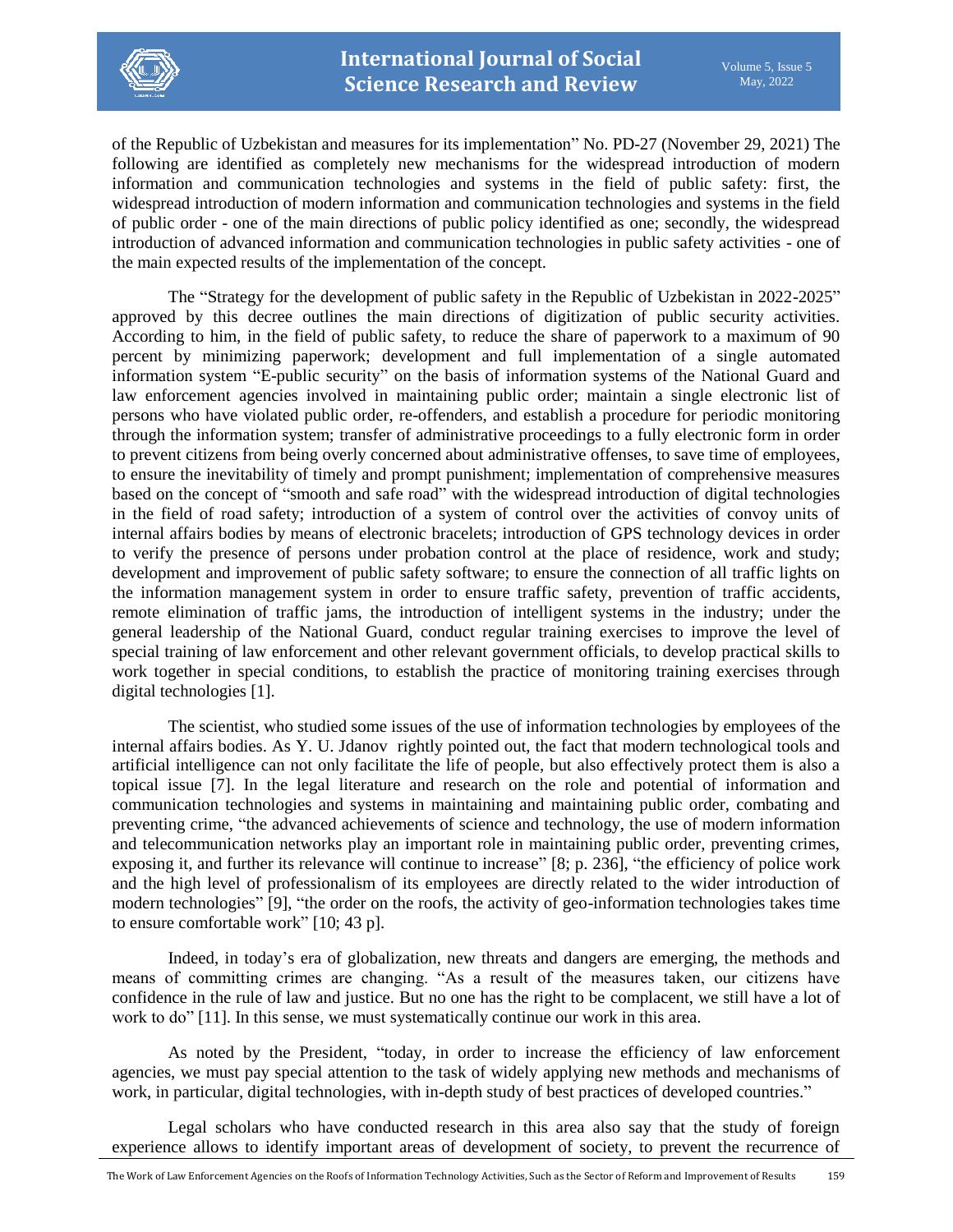

of the Republic of Uzbekistan and measures for its implementation" No. PD-27 (November 29, 2021) The following are identified as completely new mechanisms for the widespread introduction of modern information and communication technologies and systems in the field of public safety: first, the widespread introduction of modern information and communication technologies and systems in the field of public order - one of the main directions of public policy identified as one; secondly, the widespread introduction of advanced information and communication technologies in public safety activities - one of the main expected results of the implementation of the concept.

The "Strategy for the development of public safety in the Republic of Uzbekistan in 2022-2025" approved by this decree outlines the main directions of digitization of public security activities. According to him, in the field of public safety, to reduce the share of paperwork to a maximum of 90 percent by minimizing paperwork; development and full implementation of a single automated information system "E-public security" on the basis of information systems of the National Guard and law enforcement agencies involved in maintaining public order; maintain a single electronic list of persons who have violated public order, re-offenders, and establish a procedure for periodic monitoring through the information system; transfer of administrative proceedings to a fully electronic form in order to prevent citizens from being overly concerned about administrative offenses, to save time of employees, to ensure the inevitability of timely and prompt punishment; implementation of comprehensive measures based on the concept of "smooth and safe road" with the widespread introduction of digital technologies in the field of road safety; introduction of a system of control over the activities of convoy units of internal affairs bodies by means of electronic bracelets; introduction of GPS technology devices in order to verify the presence of persons under probation control at the place of residence, work and study; development and improvement of public safety software; to ensure the connection of all traffic lights on the information management system in order to ensure traffic safety, prevention of traffic accidents, remote elimination of traffic jams, the introduction of intelligent systems in the industry; under the general leadership of the National Guard, conduct regular training exercises to improve the level of special training of law enforcement and other relevant government officials, to develop practical skills to work together in special conditions, to establish the practice of monitoring training exercises through digital technologies [1].

The scientist, who studied some issues of the use of information technologies by employees of the internal affairs bodies. As Y. U. Jdanov rightly pointed out, the fact that modern technological tools and artificial intelligence can not only facilitate the life of people, but also effectively protect them is also a topical issue [7]. In the legal literature and research on the role and potential of information and communication technologies and systems in maintaining and maintaining public order, combating and preventing crime, "the advanced achievements of science and technology, the use of modern information and telecommunication networks play an important role in maintaining public order, preventing crimes, exposing it, and further its relevance will continue to increase" [8; p. 236], "the efficiency of police work and the high level of professionalism of its employees are directly related to the wider introduction of modern technologies" [9], "the order on the roofs, the activity of geo-information technologies takes time to ensure comfortable work" [10; 43 p].

Indeed, in today's era of globalization, new threats and dangers are emerging, the methods and means of committing crimes are changing. "As a result of the measures taken, our citizens have confidence in the rule of law and justice. But no one has the right to be complacent, we still have a lot of work to do" [11]. In this sense, we must systematically continue our work in this area.

As noted by the President, "today, in order to increase the efficiency of law enforcement agencies, we must pay special attention to the task of widely applying new methods and mechanisms of work, in particular, digital technologies, with in-depth study of best practices of developed countries."

Legal scholars who have conducted research in this area also say that the study of foreign experience allows to identify important areas of development of society, to prevent the recurrence of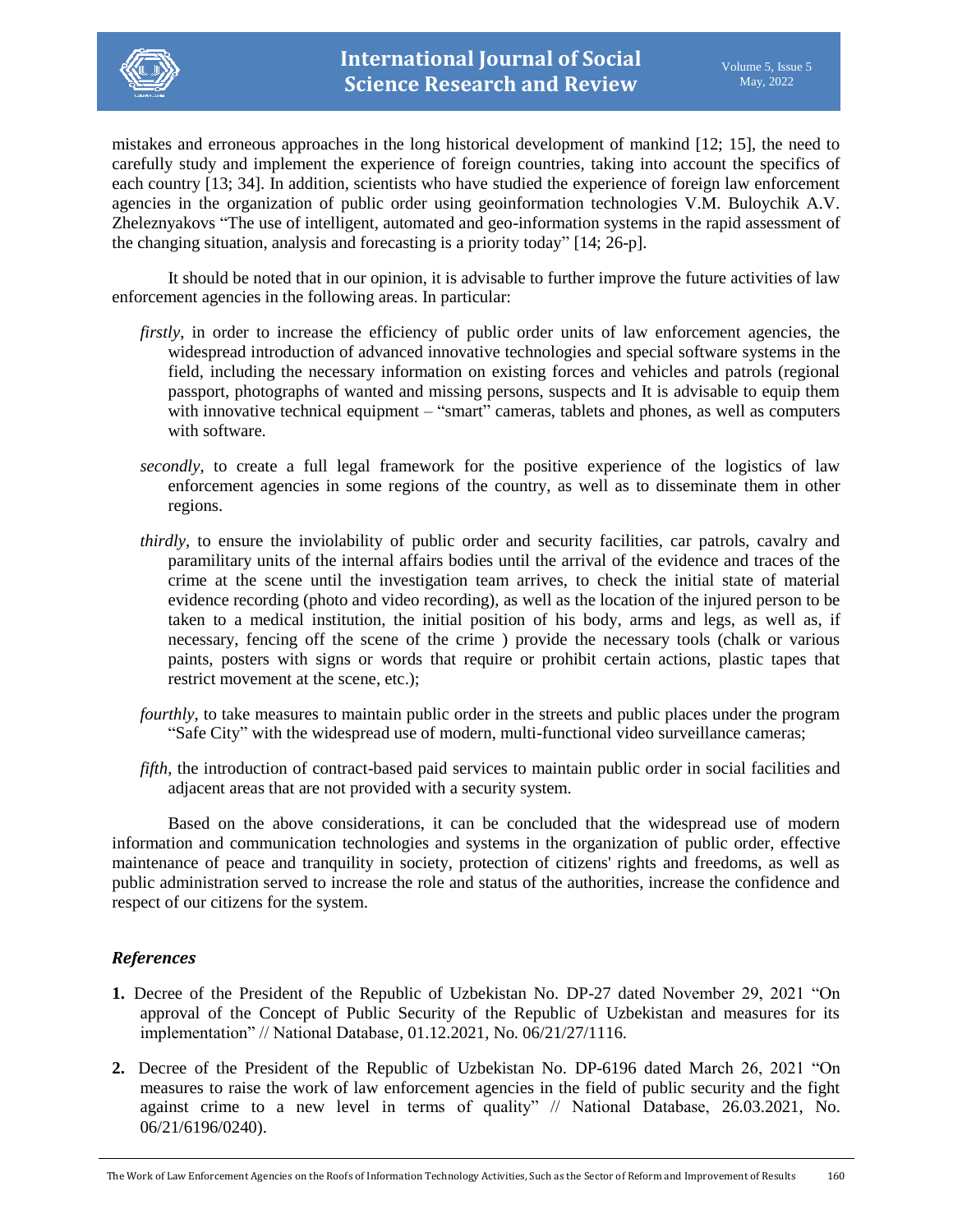

mistakes and erroneous approaches in the long historical development of mankind [12; 15], the need to carefully study and implement the experience of foreign countries, taking into account the specifics of each country [13; 34]. In addition, scientists who have studied the experience of foreign law enforcement agencies in the organization of public order using geoinformation technologies V.M. Buloychik A.V. Zheleznyakovs "The use of intelligent, automated and geo-information systems in the rapid assessment of the changing situation, analysis and forecasting is a priority today" [14; 26-p].

It should be noted that in our opinion, it is advisable to further improve the future activities of law enforcement agencies in the following areas. In particular:

- *firstly*, in order to increase the efficiency of public order units of law enforcement agencies, the widespread introduction of advanced innovative technologies and special software systems in the field, including the necessary information on existing forces and vehicles and patrols (regional passport, photographs of wanted and missing persons, suspects and It is advisable to equip them with innovative technical equipment – "smart" cameras, tablets and phones, as well as computers with software.
- *secondly*, to create a full legal framework for the positive experience of the logistics of law enforcement agencies in some regions of the country, as well as to disseminate them in other regions.
- *thirdly*, to ensure the inviolability of public order and security facilities, car patrols, cavalry and paramilitary units of the internal affairs bodies until the arrival of the evidence and traces of the crime at the scene until the investigation team arrives, to check the initial state of material evidence recording (photo and video recording), as well as the location of the injured person to be taken to a medical institution, the initial position of his body, arms and legs, as well as, if necessary, fencing off the scene of the crime ) provide the necessary tools (chalk or various paints, posters with signs or words that require or prohibit certain actions, plastic tapes that restrict movement at the scene, etc.);
- *fourthly*, to take measures to maintain public order in the streets and public places under the program "Safe City" with the widespread use of modern, multi-functional video surveillance cameras;
- *fifth*, the introduction of contract-based paid services to maintain public order in social facilities and adjacent areas that are not provided with a security system.

Based on the above considerations, it can be concluded that the widespread use of modern information and communication technologies and systems in the organization of public order, effective maintenance of peace and tranquility in society, protection of citizens' rights and freedoms, as well as public administration served to increase the role and status of the authorities, increase the confidence and respect of our citizens for the system.

#### *References*

- **1.** Decree of the President of the Republic of Uzbekistan No. DP-27 dated November 29, 2021 "On approval of the Concept of Public Security of the Republic of Uzbekistan and measures for its implementation" // National Database, 01.12.2021, No. 06/21/27/1116.
- **2.** Decree of the President of the Republic of Uzbekistan No. DP-6196 dated March 26, 2021 "On measures to raise the work of law enforcement agencies in the field of public security and the fight against crime to a new level in terms of quality" // National Database, 26.03.2021, No. 06/21/6196/0240).